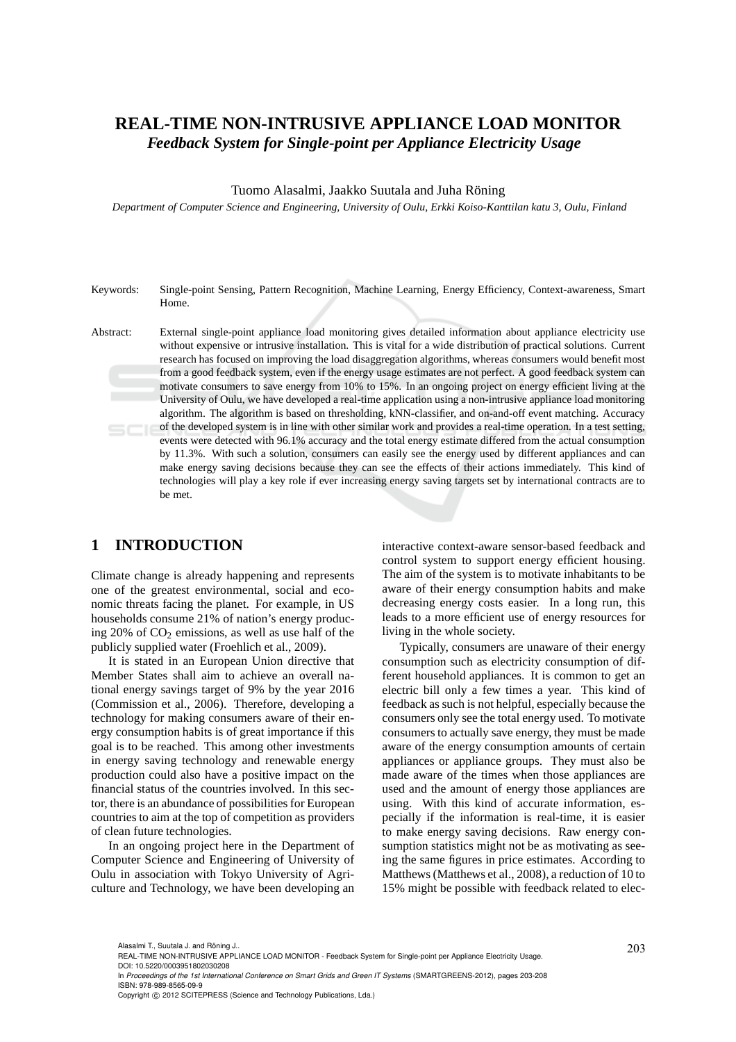# **REAL-TIME NON-INTRUSIVE APPLIANCE LOAD MONITOR** *Feedback System for Single-point per Appliance Electricity Usage*

#### Tuomo Alasalmi, Jaakko Suutala and Juha Röning

*Department of Computer Science and Engineering, University of Oulu, Erkki Koiso-Kanttilan katu 3, Oulu, Finland*

Keywords: Single-point Sensing, Pattern Recognition, Machine Learning, Energy Efficiency, Context-awareness, Smart Home.

Abstract: External single-point appliance load monitoring gives detailed information about appliance electricity use without expensive or intrusive installation. This is vital for a wide distribution of practical solutions. Current research has focused on improving the load disaggregation algorithms, whereas consumers would benefit most from a good feedback system, even if the energy usage estimates are not perfect. A good feedback system can motivate consumers to save energy from 10% to 15%. In an ongoing project on energy efficient living at the University of Oulu, we have developed a real-time application using a non-intrusive appliance load monitoring algorithm. The algorithm is based on thresholding, kNN-classifier, and on-and-off event matching. Accuracy of the developed system is in line with other similar work and provides a real-time operation. In a test setting, events were detected with 96.1% accuracy and the total energy estimate differed from the actual consumption by 11.3%. With such a solution, consumers can easily see the energy used by different appliances and can make energy saving decisions because they can see the effects of their actions immediately. This kind of technologies will play a key role if ever increasing energy saving targets set by international contracts are to be met.

## **1 INTRODUCTION**

Climate change is already happening and represents one of the greatest environmental, social and economic threats facing the planet. For example, in US households consume 21% of nation's energy producing 20% of  $CO<sub>2</sub>$  emissions, as well as use half of the publicly supplied water (Froehlich et al., 2009).

It is stated in an European Union directive that Member States shall aim to achieve an overall national energy savings target of 9% by the year 2016 (Commission et al., 2006). Therefore, developing a technology for making consumers aware of their energy consumption habits is of great importance if this goal is to be reached. This among other investments in energy saving technology and renewable energy production could also have a positive impact on the financial status of the countries involved. In this sector, there is an abundance of possibilities for European countries to aim at the top of competition as providers of clean future technologies.

In an ongoing project here in the Department of Computer Science and Engineering of University of Oulu in association with Tokyo University of Agriculture and Technology, we have been developing an interactive context-aware sensor-based feedback and control system to support energy efficient housing. The aim of the system is to motivate inhabitants to be aware of their energy consumption habits and make decreasing energy costs easier. In a long run, this leads to a more efficient use of energy resources for living in the whole society.

Typically, consumers are unaware of their energy consumption such as electricity consumption of different household appliances. It is common to get an electric bill only a few times a year. This kind of feedback as such is not helpful, especially because the consumers only see the total energy used. To motivate consumers to actually save energy, they must be made aware of the energy consumption amounts of certain appliances or appliance groups. They must also be made aware of the times when those appliances are used and the amount of energy those appliances are using. With this kind of accurate information, especially if the information is real-time, it is easier to make energy saving decisions. Raw energy consumption statistics might not be as motivating as seeing the same figures in price estimates. According to Matthews (Matthews et al., 2008), a reduction of 10 to 15% might be possible with feedback related to elec-

Alasalmi T., Suutala J. and Röning J..<br>REAL-TIME NON-INTRUSIVE APPLIANCE LOAD MONITOR - Feedback System for Single-point per Appliance Electricity Usage. DOI: 10.5220/0003951802030208

In *Proceedings of the 1st International Conference on Smart Grids and Green IT Systems* (SMARTGREENS-2012), pages 203-208 ISBN: 978-989-8565-09-9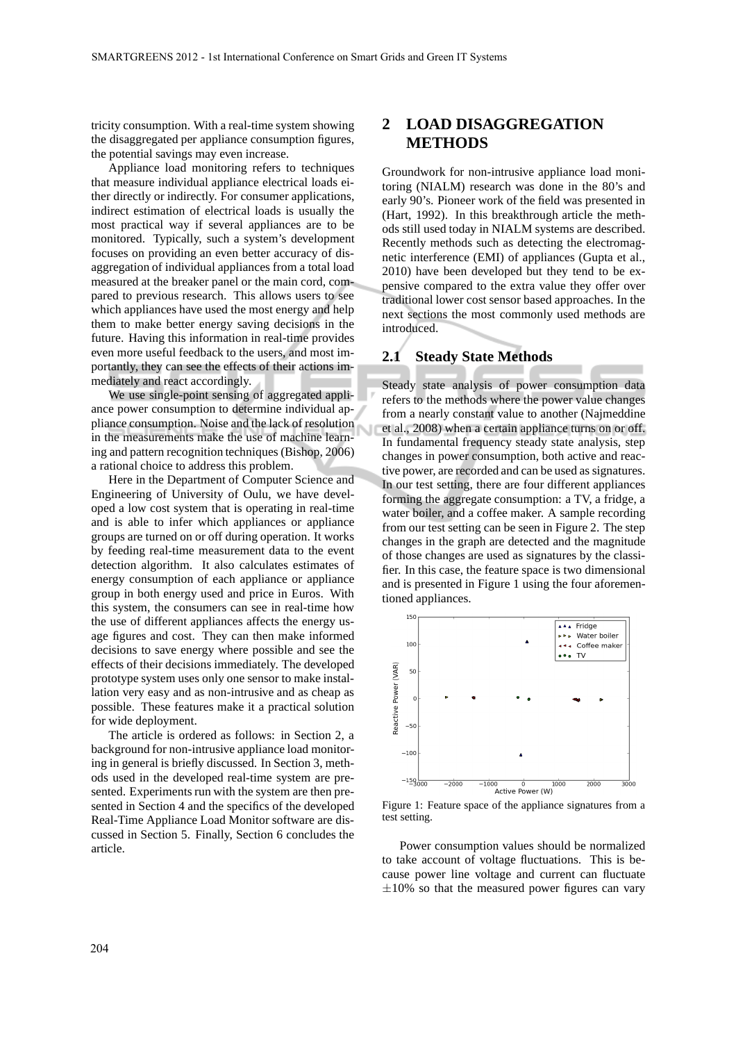tricity consumption. With a real-time system showing the disaggregated per appliance consumption figures, the potential savings may even increase.

Appliance load monitoring refers to techniques that measure individual appliance electrical loads either directly or indirectly. For consumer applications, indirect estimation of electrical loads is usually the most practical way if several appliances are to be monitored. Typically, such a system's development focuses on providing an even better accuracy of disaggregation of individual appliances from a total load measured at the breaker panel or the main cord, compared to previous research. This allows users to see which appliances have used the most energy and help them to make better energy saving decisions in the future. Having this information in real-time provides even more useful feedback to the users, and most importantly, they can see the effects of their actions immediately and react accordingly.

We use single-point sensing of aggregated appliance power consumption to determine individual appliance consumption. Noise and the lack of resolution in the measurements make the use of machine learning and pattern recognition techniques (Bishop, 2006) a rational choice to address this problem.

Here in the Department of Computer Science and Engineering of University of Oulu, we have developed a low cost system that is operating in real-time and is able to infer which appliances or appliance groups are turned on or off during operation. It works by feeding real-time measurement data to the event detection algorithm. It also calculates estimates of energy consumption of each appliance or appliance group in both energy used and price in Euros. With this system, the consumers can see in real-time how the use of different appliances affects the energy usage figures and cost. They can then make informed decisions to save energy where possible and see the effects of their decisions immediately. The developed prototype system uses only one sensor to make installation very easy and as non-intrusive and as cheap as possible. These features make it a practical solution for wide deployment.

The article is ordered as follows: in Section 2, a background for non-intrusive appliance load monitoring in general is briefly discussed. In Section 3, methods used in the developed real-time system are presented. Experiments run with the system are then presented in Section 4 and the specifics of the developed Real-Time Appliance Load Monitor software are discussed in Section 5. Finally, Section 6 concludes the article.

# **2 LOAD DISAGGREGATION METHODS**

Groundwork for non-intrusive appliance load monitoring (NIALM) research was done in the 80's and early 90's. Pioneer work of the field was presented in (Hart, 1992). In this breakthrough article the methods still used today in NIALM systems are described. Recently methods such as detecting the electromagnetic interference (EMI) of appliances (Gupta et al., 2010) have been developed but they tend to be expensive compared to the extra value they offer over traditional lower cost sensor based approaches. In the next sections the most commonly used methods are introduced.

#### **2.1 Steady State Methods**

Steady state analysis of power consumption data refers to the methods where the power value changes from a nearly constant value to another (Najmeddine et al., 2008) when a certain appliance turns on or off. In fundamental frequency steady state analysis, step changes in power consumption, both active and reactive power, are recorded and can be used as signatures. In our test setting, there are four different appliances forming the aggregate consumption: a TV, a fridge, a water boiler, and a coffee maker. A sample recording from our test setting can be seen in Figure 2. The step changes in the graph are detected and the magnitude of those changes are used as signatures by the classifier. In this case, the feature space is two dimensional and is presented in Figure 1 using the four aforementioned appliances.



Figure 1: Feature space of the appliance signatures from a test setting.

Power consumption values should be normalized to take account of voltage fluctuations. This is because power line voltage and current can fluctuate  $\pm 10\%$  so that the measured power figures can vary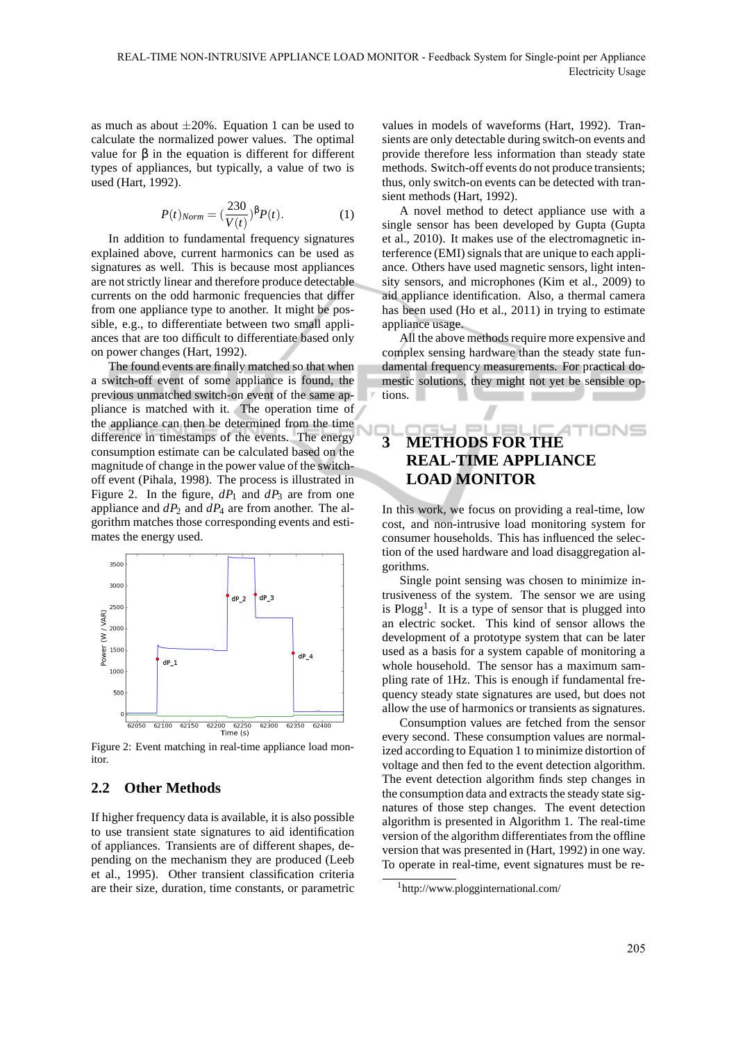as much as about  $\pm 20\%$ . Equation 1 can be used to calculate the normalized power values. The optimal value for β in the equation is different for different types of appliances, but typically, a value of two is used (Hart, 1992).

$$
P(t)_{Norm} = \left(\frac{230}{V(t)}\right)^{\beta}P(t). \tag{1}
$$

In addition to fundamental frequency signatures explained above, current harmonics can be used as signatures as well. This is because most appliances are not strictly linear and therefore produce detectable currents on the odd harmonic frequencies that differ from one appliance type to another. It might be possible, e.g., to differentiate between two small appliances that are too difficult to differentiate based only on power changes (Hart, 1992).

The found events are finally matched so that when a switch-off event of some appliance is found, the previous unmatched switch-on event of the same appliance is matched with it. The operation time of the appliance can then be determined from the time difference in timestamps of the events. The energy consumption estimate can be calculated based on the magnitude of change in the power value of the switchoff event (Pihala, 1998). The process is illustrated in Figure 2. In the figure,  $dP_1$  and  $dP_3$  are from one appliance and *dP*<sup>2</sup> and *dP*<sup>4</sup> are from another. The algorithm matches those corresponding events and estimates the energy used.



Figure 2: Event matching in real-time appliance load monitor.

### **2.2 Other Methods**

If higher frequency data is available, it is also possible to use transient state signatures to aid identification of appliances. Transients are of different shapes, depending on the mechanism they are produced (Leeb et al., 1995). Other transient classification criteria are their size, duration, time constants, or parametric

values in models of waveforms (Hart, 1992). Transients are only detectable during switch-on events and provide therefore less information than steady state methods. Switch-off events do not produce transients; thus, only switch-on events can be detected with transient methods (Hart, 1992).

A novel method to detect appliance use with a single sensor has been developed by Gupta (Gupta et al., 2010). It makes use of the electromagnetic interference (EMI) signals that are unique to each appliance. Others have used magnetic sensors, light intensity sensors, and microphones (Kim et al., 2009) to aid appliance identification. Also, a thermal camera has been used (Ho et al., 2011) in trying to estimate appliance usage.

All the above methods require more expensive and complex sensing hardware than the steady state fundamental frequency measurements. For practical domestic solutions, they might not yet be sensible options.

# **3 METHODS FOR THE REAL-TIME APPLIANCE LOAD MONITOR**

In this work, we focus on providing a real-time, low cost, and non-intrusive load monitoring system for consumer households. This has influenced the selection of the used hardware and load disaggregation algorithms.

Single point sensing was chosen to minimize intrusiveness of the system. The sensor we are using is  $Plogg<sup>1</sup>$ . It is a type of sensor that is plugged into an electric socket. This kind of sensor allows the development of a prototype system that can be later used as a basis for a system capable of monitoring a whole household. The sensor has a maximum sampling rate of 1Hz. This is enough if fundamental frequency steady state signatures are used, but does not allow the use of harmonics or transients as signatures.

Consumption values are fetched from the sensor every second. These consumption values are normalized according to Equation 1 to minimize distortion of voltage and then fed to the event detection algorithm. The event detection algorithm finds step changes in the consumption data and extracts the steady state signatures of those step changes. The event detection algorithm is presented in Algorithm 1. The real-time version of the algorithm differentiates from the offline version that was presented in (Hart, 1992) in one way. To operate in real-time, event signatures must be re-

<sup>1</sup>http://www.plogginternational.com/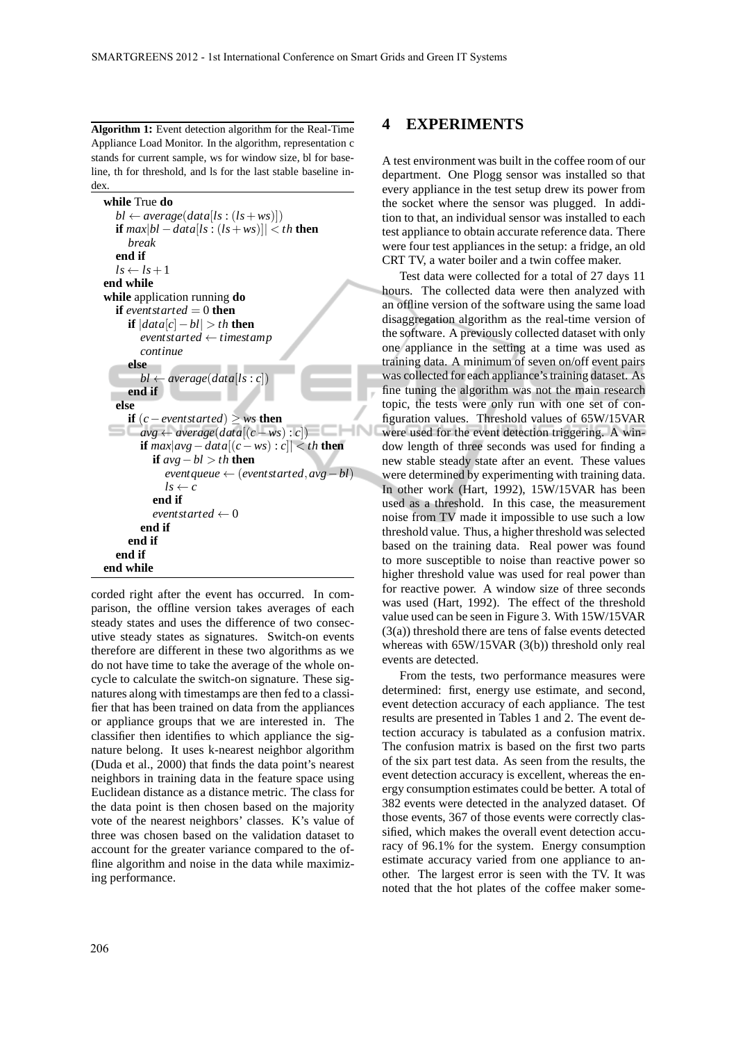**Algorithm 1:** Event detection algorithm for the Real-Time Appliance Load Monitor. In the algorithm, representation c stands for current sample, ws for window size, bl for baseline, th for threshold, and ls for the last stable baseline index.

```
while True do
  bl \leftarrow average(data[ls : (ls + ws)])if max|bl −data[ls : (ls+ws)]| < th then
    break
  end if
  ls \leftarrow ls + 1end while
while application running do
  if eventstarted = 0 then
    if |data[c]−bl| > th then
       eventstarted ← timestamp
       continue
    else
       bl \leftarrow average(data[ls : c])end if
  else
    if (c − event started) ≥ ws then
                                                 4N
 avg \leftarrow average(data[(c - ws): c]if max|avg−data[(c−ws) : c]| < th then
         if avg−bl > th then
            eventqueue ← (eventstarted,avg−bl)
            ls \leftarrow cend if

       end if
    end if
  end if
end while
```
corded right after the event has occurred. In comparison, the offline version takes averages of each steady states and uses the difference of two consecutive steady states as signatures. Switch-on events therefore are different in these two algorithms as we do not have time to take the average of the whole oncycle to calculate the switch-on signature. These signatures along with timestamps are then fed to a classifier that has been trained on data from the appliances or appliance groups that we are interested in. The classifier then identifies to which appliance the signature belong. It uses k-nearest neighbor algorithm (Duda et al., 2000) that finds the data point's nearest neighbors in training data in the feature space using Euclidean distance as a distance metric. The class for the data point is then chosen based on the majority vote of the nearest neighbors' classes. K's value of three was chosen based on the validation dataset to account for the greater variance compared to the offline algorithm and noise in the data while maximizing performance.

### **4 EXPERIMENTS**

A test environment was built in the coffee room of our department. One Plogg sensor was installed so that every appliance in the test setup drew its power from the socket where the sensor was plugged. In addition to that, an individual sensor was installed to each test appliance to obtain accurate reference data. There were four test appliances in the setup: a fridge, an old CRT TV, a water boiler and a twin coffee maker.

Test data were collected for a total of 27 days 11 hours. The collected data were then analyzed with an offline version of the software using the same load disaggregation algorithm as the real-time version of the software. A previously collected dataset with only one appliance in the setting at a time was used as training data. A minimum of seven on/off event pairs was collected for each appliance's training dataset. As fine tuning the algorithm was not the main research topic, the tests were only run with one set of configuration values. Threshold values of 65W/15VAR were used for the event detection triggering. A window length of three seconds was used for finding a new stable steady state after an event. These values were determined by experimenting with training data. In other work (Hart, 1992), 15W/15VAR has been used as a threshold. In this case, the measurement noise from TV made it impossible to use such a low threshold value. Thus, a higher threshold was selected based on the training data. Real power was found to more susceptible to noise than reactive power so higher threshold value was used for real power than for reactive power. A window size of three seconds was used (Hart, 1992). The effect of the threshold value used can be seen in Figure 3. With 15W/15VAR (3(a)) threshold there are tens of false events detected whereas with 65W/15VAR (3(b)) threshold only real events are detected.

From the tests, two performance measures were determined: first, energy use estimate, and second, event detection accuracy of each appliance. The test results are presented in Tables 1 and 2. The event detection accuracy is tabulated as a confusion matrix. The confusion matrix is based on the first two parts of the six part test data. As seen from the results, the event detection accuracy is excellent, whereas the energy consumption estimates could be better. A total of 382 events were detected in the analyzed dataset. Of those events, 367 of those events were correctly classified, which makes the overall event detection accuracy of 96.1% for the system. Energy consumption estimate accuracy varied from one appliance to another. The largest error is seen with the TV. It was noted that the hot plates of the coffee maker some-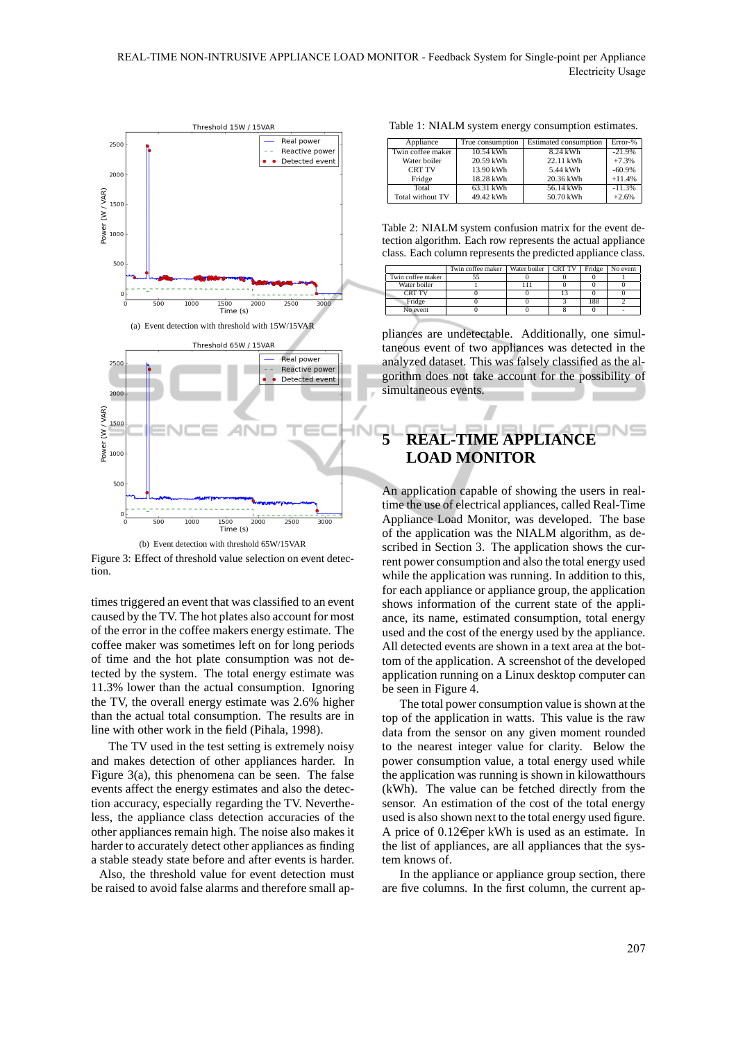

(b) Event detection with threshold 65W/15VAR Figure 3: Effect of threshold value selection on event detection.

times triggered an event that was classified to an event caused by the TV. The hot plates also account for most of the error in the coffee makers energy estimate. The coffee maker was sometimes left on for long periods of time and the hot plate consumption was not detected by the system. The total energy estimate was 11.3% lower than the actual consumption. Ignoring the TV, the overall energy estimate was 2.6% higher than the actual total consumption. The results are in line with other work in the field (Pihala, 1998).

The TV used in the test setting is extremely noisy and makes detection of other appliances harder. In Figure 3(a), this phenomena can be seen. The false events affect the energy estimates and also the detection accuracy, especially regarding the TV. Nevertheless, the appliance class detection accuracies of the other appliances remain high. The noise also makes it harder to accurately detect other appliances as finding a stable steady state before and after events is harder.

Also, the threshold value for event detection must be raised to avoid false alarms and therefore small ap-

Table 1: NIALM system energy consumption estimates.

| Appliance         | True consumption | Estimated consumption | Error-%  |
|-------------------|------------------|-----------------------|----------|
| Twin coffee maker | 10.54 kWh        | 8.24 kWh              | $-21.9%$ |
| Water boiler      | 20.59 kWh        | 22.11 kWh             | $+7.3%$  |
| <b>CRT TV</b>     | 13.90 kWh        | 5.44 kWh              | $-60.9%$ |
| Fridge            | 18.28 kWh        | 20.36 kWh             | $+11.4%$ |
| Total             | 63.31 kWh        | 56.14 kWh             | $-11.3%$ |
| Total without TV  | 49.42 kWh        | 50.70 kWh             | $+2.6%$  |

Table 2: NIALM system confusion matrix for the event detection algorithm. Each row represents the actual appliance class. Each column represents the predicted appliance class.

| Twin coffee maker |  | Fridge              | No event |
|-------------------|--|---------------------|----------|
|                   |  |                     |          |
|                   |  |                     |          |
|                   |  |                     |          |
|                   |  | 188                 |          |
|                   |  |                     |          |
|                   |  | Water boiler CRT TV |          |

pliances are undetectable. Additionally, one simultaneous event of two appliances was detected in the analyzed dataset. This was falsely classified as the algorithm does not take account for the possibility of simultaneous events.

# **5 REAL-TIME APPLIANCE LOAD MONITOR**

An application capable of showing the users in realtime the use of electrical appliances, called Real-Time Appliance Load Monitor, was developed. The base of the application was the NIALM algorithm, as described in Section 3. The application shows the current power consumption and also the total energy used while the application was running. In addition to this, for each appliance or appliance group, the application shows information of the current state of the appliance, its name, estimated consumption, total energy used and the cost of the energy used by the appliance. All detected events are shown in a text area at the bottom of the application. A screenshot of the developed application running on a Linux desktop computer can be seen in Figure 4.

The total power consumption value is shown at the top of the application in watts. This value is the raw data from the sensor on any given moment rounded to the nearest integer value for clarity. Below the power consumption value, a total energy used while the application was running is shown in kilowatthours (kWh). The value can be fetched directly from the sensor. An estimation of the cost of the total energy used is also shown next to the total energy used figure. A price of  $0.12 \in$  per kWh is used as an estimate. In the list of appliances, are all appliances that the system knows of.

In the appliance or appliance group section, there are five columns. In the first column, the current ap-